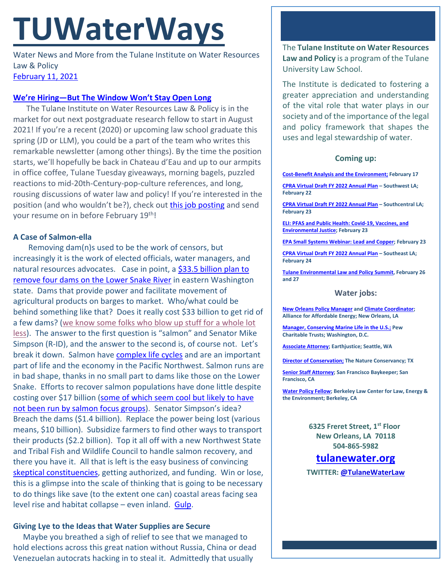# **TUWaterWays**

Water News and More from the Tulane Institute on Water Resources Law & Policy [February 11,](https://thisdayinwaterhistory.wordpress.com/) 2021

### **[We're Hiring—But The Window Won't Stay Open Long](https://hr.tulane.edu/job-detail/IRC20158)**

The Tulane Institute on Water Resources Law & Policy is in the market for out next postgraduate research fellow to start in August 2021! If you're a recent (2020) or upcoming law school graduate this spring (JD or LLM), you could be a part of the team who writes this remarkable newsletter (among other things). By the time the position starts, we'll hopefully be back in Chateau d'Eau and up to our armpits in office coffee, Tulane Tuesday giveaways, morning bagels, puzzled reactions to mid-20th-Century-pop-culture references, and long, rousing discussions of water law and policy! If you're interested in the position (and who wouldn't be?), check out [this job posting](https://hr.tulane.edu/job-detail/IRC20158) and send your resume on in before February 19<sup>th</sup>!

# **A Case of Salmon-ella**

Removing dam(n)s used to be the work of censors, but increasingly it is the work of elected officials, water managers, and natural resources advocates. Case in point, a \$33.5 billion plan to [remove four dams on the Lower Snake River](https://www.seattletimes.com/seattle-news/environment/gop-congressman-pitches-34-billion-plan-to-breach-lower-snake-river-dams-in-new-vision-for-northwest/) in eastern Washington state. Dams that provide power and facilitate movement of agricultural products on barges to market. Who/what could be behind something like that? Does it really cost \$33 billion to get rid of a few dams? [\(we know some folks who blow up stuff for a whole lot](https://www.youtube.com/watch?v=ts34UxRfTx8)  [less\)](https://www.youtube.com/watch?v=ts34UxRfTx8). The answer to the first question is "salmon" and Senator Mike Simpson (R-ID), and the answer to the second is, of course not. Let's break it down. Salmon have [complex life cycles](https://www.youtube.com/watch?v=qV30UZ9aF04) and are an important part of life and the economy in the Pacific Northwest. Salmon runs are in bad shape, thanks in no small part to dams like those on the Lower Snake. Efforts to recover salmon populations have done little despite costing over \$17 billion [\(some of which seem cool but likely to have](https://www.youtube.com/watch?v=_Vp7elamuG0)  [not been run by salmon focus groups\)](https://www.youtube.com/watch?v=_Vp7elamuG0). Senator Simpson's idea? Breach the dams (\$1.4 billion). Replace the power being lost (various means, \$10 billion). Subsidize farmers to find other ways to transport their products (\$2.2 billion). Top it all off with a new Northwest State and Tribal Fish and Wildlife Council to handle salmon recovery, and there you have it. All that is left is the easy business of convincing [skeptical constituencies,](https://www.capitalpress.com/ag_sectors/grains/simpsons-salmon-recovery-dam-breaching-plan-a-non-starter-ag-reps-say/article_23b7a29c-6a2a-11eb-bdac-6328a4f3c46b.html) getting authorized, and funding. Win or lose, this is a glimpse into the scale of thinking that is going to be necessary to do things like save (to the extent one can) coastal areas facing sea level rise and habitat collapse – even inland. [Gulp.](https://www.youtube.com/watch?v=lvGCF-K8SiQ)

## **Giving Lye to the Ideas that Water Supplies are Secure**

 Maybe you breathed a sigh of relief to see that we managed to hold elections across this great nation without Russia, China or dead Venezuelan autocrats hacking in to steal it. Admittedly that usually

The **Tulane Institute on Water Resources Law and Policy** is a program of the Tulane University Law School.

The Institute is dedicated to fostering a greater appreciation and understanding of the vital role that water plays in our society and of the importance of the legal and policy framework that shapes the uses and legal stewardship of water.

# **Coming up:**

**[Cost-Benefit Analysis and the Environment;](https://www.eli.org/events/cost-benefit-analysis-and-environment) February 17**

**[CPRA Virtual Draft FY 2022 Annual Plan](https://coastal.la.gov/calendar/) – Southwest LA; February 22**

**[CPRA Virtual Draft FY 2022 Annual Plan](https://coastal.la.gov/calendar/) – Southcentral LA; February 23**

**[ELI: PFAS and Public Health: Covid-19, Vaccines, and](https://www.eli.org/events/pfas-public-health-covid-19-vaccines-and-environmental-justice)  [Environmental Justice;](https://www.eli.org/events/pfas-public-health-covid-19-vaccines-and-environmental-justice) February 23**

**[EPA Small Systems Webinar: Lead and Copper;](https://www.epa.gov/water-research/small-systems-monthly-webinar-series) February 23**

**[CPRA Virtual Draft FY 2022 Annual Plan](https://coastal.la.gov/calendar/) – Southeast LA; February 24**

**[Tulane Environmental Law and Policy Summit,](https://tulaneenvironmentallawsummit.com/) February 26 and 27**

### **Water jobs:**

**[New Orleans Policy Manager](https://www.all4energy.org/the-watchdog/were-hiring-aae-is-looking-for-a-new-orleans-policy-manager?utm_source=Alliance+for+Affordable+Energy&utm_campaign=cc48d94ee1-EMAIL_CAMPAIGN_2020_12_04_06_12_COPY_01&utm_medium=email&utm_term=0_96577798d7-cc48d94ee1-89434567) an[d Climate Coordinator;](https://www.all4energy.org/the-watchdog/were-hiring-aae-is-looking-for-a-climate-coordinator?utm_source=Alliance+for+Affordable+Energy&utm_campaign=cc48d94ee1-EMAIL_CAMPAIGN_2020_12_04_06_12_COPY_01&utm_medium=email&utm_term=0_96577798d7-cc48d94ee1-89434567)  Alliance for Affordable Energy; New Orleans, LA**

**[Manager, Conserving Marine Life in the U.S.;](https://jobs-pct.icims.com/jobs/6392/job?mobile=false&width=990&height=500&bga=true&needsRedirect=false&jan1offset=-360&jun1offset=-300) Pew Charitable Trusts; Washington, D.C.**

**[Associate Attorney;](https://jobs.jobvite.com/earthjustice/job/o2Modfw9?nl=1) Earthjustice; Seattle, WA**

**[Director of Conservation;](https://careers.nature.org/psc/tnccareers/APPLICANT/APPL/c/HRS_HRAM_FL.HRS_CG_SEARCH_FL.GBL?Page=HRS_APP_JBPST_FL&Action=U&FOCUS=Applicant&SiteId=1&JobOpeningId=49155&PostingSeq=1&PortalActualURL=https%3a%2f%2fcareers.nature.org%2fpsc%2ftnccareers%2fAPPLICANT%2fAPPL%2fc%2fHRS_HRAM_FL.HRS_CG_SEARCH_FL.GBL%3fPage%3dHRS_APP_JBPST_FL%26Action%3dU%26FOCUS%3dApplicant%26SiteId%3d1%26JobOpeningId%3d49155%26PostingSeq%3d1&PortalRegistryName=APPLICANT&PortalServletURI=https%3a%2f%2fcareers.nature.org%2fpsp%2ftnccareers%2f&PortalURI=https%3a%2f%2fcareers.nature.org%2fpsc%2ftnccareers%2f&PortalHostNode=APPL&NoCrumbs=yes&PortalKeyStruct=yes) The Nature Conservancy; TX**

**[Senior Staff Attorney;](https://baykeeper.org/about-baykeeper/jobs-and-internships#seniorattorney) San Francisco Baykeeper; San Francisco, CA**

**[Water Policy Fellow;](https://www.law.berkeley.edu/research/clee/about/careers/water-policy-fellow/) Berkeley Law Center for Law, Energy & the Environment; Berkeley, CA**

> **6325 Freret Street, 1st Floor New Orleans, LA 70118 504-865-5982**

# **tulanewater.org**

**TWITTER[: @TulaneWaterLaw](http://www.twitter.com/TulaneWaterLaw)**